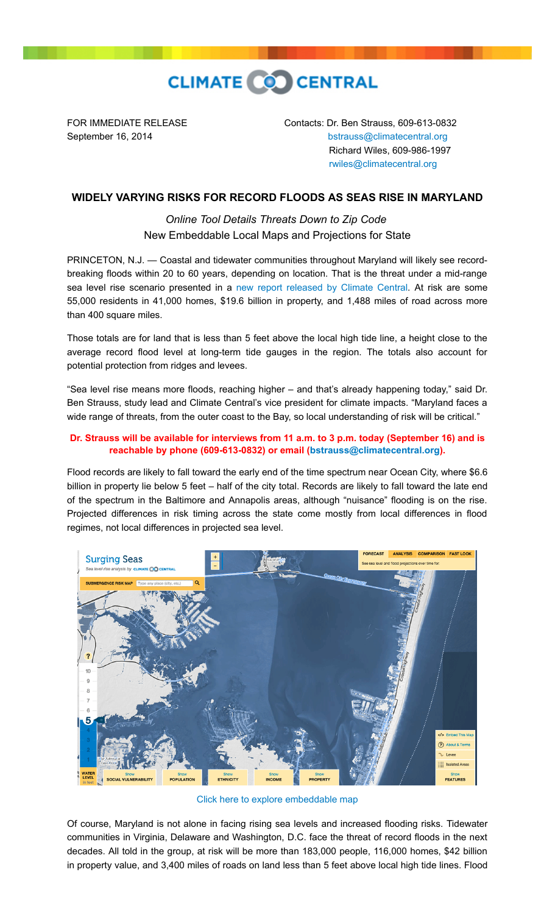

FOR IMMEDIATE RELEASE Contacts: Dr. Ben Strauss, 609-613-0832 September 16, 2014 **[bstrauss@climatecentral.org](mailto:bstrauss@climatecentral.org)**  Richard Wiles, 609-986-1997 [rwiles@climatecentral.org](mailto:rwiles@climatecentral.org)

## **WIDELY VARYING RISKS FOR RECORD FLOODS AS SEAS RISE IN MARYLAND**

*Online Tool Details Threats Down to Zip Code*  New Embeddable Local Maps and Projections for State

PRINCETON, N.J. — Coastal and tidewater communities throughout Maryland will likely see recordbreaking floods within 20 to 60 years, depending on location. That is the threat under a mid-range sea level rise scenario presented in a [new report released by Climate Central.](http://sealevel.climatecentral.org/ssrf/maryland) At risk are some 55,000 residents in 41,000 homes, \$19.6 billion in property, and 1,488 miles of road across more than 400 square miles.

Those totals are for land that is less than 5 feet above the local high tide line, a height close to the average record flood level at long-term tide gauges in the region. The totals also account for potential protection from ridges and levees.

"Sea level rise means more floods, reaching higher – and that's already happening today," said Dr. Ben Strauss, study lead and Climate Central's vice president for climate impacts. "Maryland faces a wide range of threats, from the outer coast to the Bay, so local understanding of risk will be critical."

## **Dr. Strauss will be available for interviews from 11 a.m. to 3 p.m. today (September 16) and is reachable by phone (609-613-0832) or email [\(bstrauss@climatecentral.org](mailto:bstrauss@climatecentral.org)).**

Flood records are likely to fall toward the early end of the time spectrum near Ocean City, where \$6.6 billion in property lie below 5 feet – half of the city total. Records are likely to fall toward the late end of the spectrum in the Baltimore and Annapolis areas, although "nuisance" flooding is on the rise. Projected differences in risk timing across the state come mostly from local differences in flood regimes, not local differences in projected sea level.



[Click here to explore embeddable map](http://ss2.climatecentral.org/#14/38.3964/-75.0977?show=satellite&level=5&pois=hide)

Of course, Maryland is not alone in facing rising sea levels and increased flooding risks. Tidewater communities in Virginia, Delaware and Washington, D.C. face the threat of record floods in the next decades. All told in the group, at risk will be more than 183,000 people, 116,000 homes, \$42 billion in property value, and 3,400 miles of roads on land less than 5 feet above local high tide lines. Flood